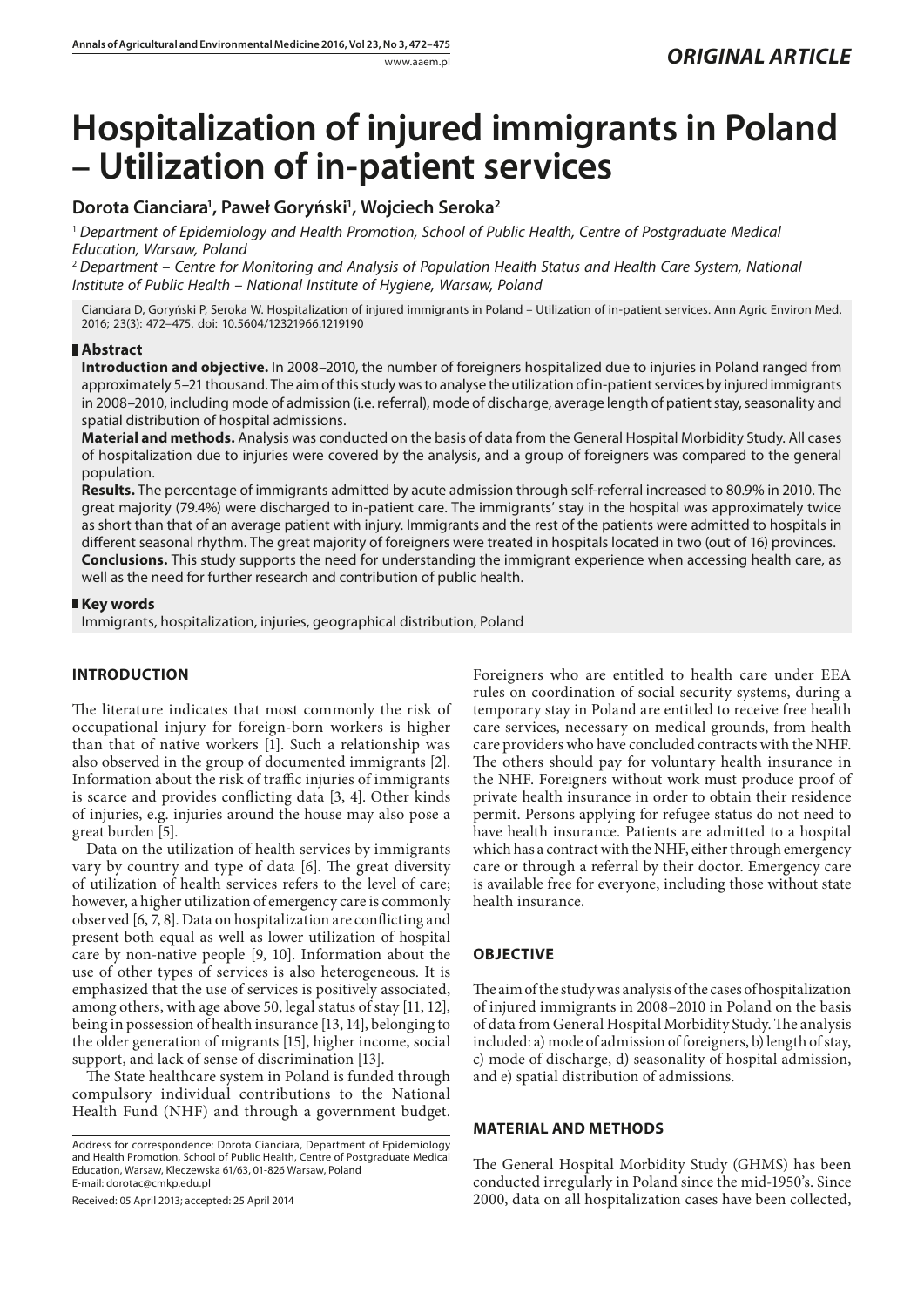# **Hospitalization of injured immigrants in Poland – Utilization of in-patient services**

## **Dorota Cianciara1 , Paweł Goryński1 , Wojciech Seroka2**

<sup>1</sup> *Department of Epidemiology and Health Promotion, School of Public Health, Centre of Postgraduate Medical Education, Warsaw, Poland*

<sup>2</sup> *Department – Centre for Monitoring and Analysis of Population Health Status and Health Care System, National Institute of Public Health – National Institute of Hygiene, Warsaw, Poland*

Cianciara D, Goryński P, Seroka W. Hospitalization of injured immigrants in Poland – Utilization of in-patient services. Ann Agric Environ Med. 2016; 23(3): 472–475. doi: 10.5604/12321966.1219190

### **Abstract**

**Introduction and objective.** In 2008–2010, the number of foreigners hospitalized due to injuries in Poland ranged from approximately 5–21 thousand. The aim of this study was to analyse the utilization of in-patient services by injured immigrants in 2008–2010, including mode of admission (i.e. referral), mode of discharge, average length of patient stay, seasonality and spatial distribution of hospital admissions.

**Material and methods.** Analysis was conducted on the basis of data from the General Hospital Morbidity Study. All cases of hospitalization due to injuries were covered by the analysis, and a group of foreigners was compared to the general population.

**Results.** The percentage of immigrants admitted by acute admission through self-referral increased to 80.9% in 2010. The great majority (79.4%) were discharged to in-patient care. The immigrants' stay in the hospital was approximately twice as short than that of an average patient with injury. Immigrants and the rest of the patients were admitted to hospitals in different seasonal rhythm. The great majority of foreigners were treated in hospitals located in two (out of 16) provinces. **Conclusions.** This study supports the need for understanding the immigrant experience when accessing health care, as well as the need for further research and contribution of public health.

### **Key words**

Immigrants, hospitalization, injuries, geographical distribution, Poland

## **INTRODUCTION**

The literature indicates that most commonly the risk of occupational injury for foreign-born workers is higher than that of native workers [1]. Such a relationship was also observed in the group of documented immigrants [2]. Information about the risk of traffic injuries of immigrants is scarce and provides conflicting data [3, 4]. Other kinds of injuries, e.g. injuries around the house may also pose a great burden [5].

Data on the utilization of health services by immigrants vary by country and type of data [6]. The great diversity of utilization of health services refers to the level of care; however, a higher utilization of emergency care is commonly observed [6, 7, 8]. Data on hospitalization are conflicting and present both equal as well as lower utilization of hospital care by non-native people [9, 10]. Information about the use of other types of services is also heterogeneous. It is emphasized that the use of services is positively associated, among others, with age above 50, legal status of stay [11, 12], being in possession of health insurance [13, 14], belonging to the older generation of migrants [15], higher income, social support, and lack of sense of discrimination [13].

The State healthcare system in Poland is funded through compulsory individual contributions to the National Health Fund (NHF) and through a government budget.

Received: 05 April 2013; accepted: 25 April 2014

Foreigners who are entitled to health care under EEA rules on coordination of social security systems, during a temporary stay in Poland are entitled to receive free health care services, necessary on medical grounds, from health care providers who have concluded contracts with the NHF. The others should pay for voluntary health insurance in the NHF. Foreigners without work must produce proof of private health insurance in order to obtain their residence permit. Persons applying for refugee status do not need to have health insurance. Patients are admitted to a hospital which has a contract with the NHF, either through emergency care or through a referral by their doctor. Emergency care is available free for everyone, including those without state health insurance.

## **OBJECTIVE**

The aim of the study was analysis of the cases of hospitalization of injured immigrants in 2008–2010 in Poland on the basis of data from General Hospital Morbidity Study. The analysis included: a) mode of admission of foreigners, b) length of stay, c) mode of discharge, d) seasonality of hospital admission, and e) spatial distribution of admissions.

## **MATERIAL AND METHODS**

The General Hospital Morbidity Study (GHMS) has been conducted irregularly in Poland since the mid-1950's. Since 2000, data on all hospitalization cases have been collected,

Address for correspondence: Dorota Cianciara, Department of Epidemiology and Health Promotion, School of Public Health, Centre of Postgraduate Medical Education, Warsaw, Kleczewska 61/63, 01-826 Warsaw, Poland E-mail: dorotac@cmkp.edu.pl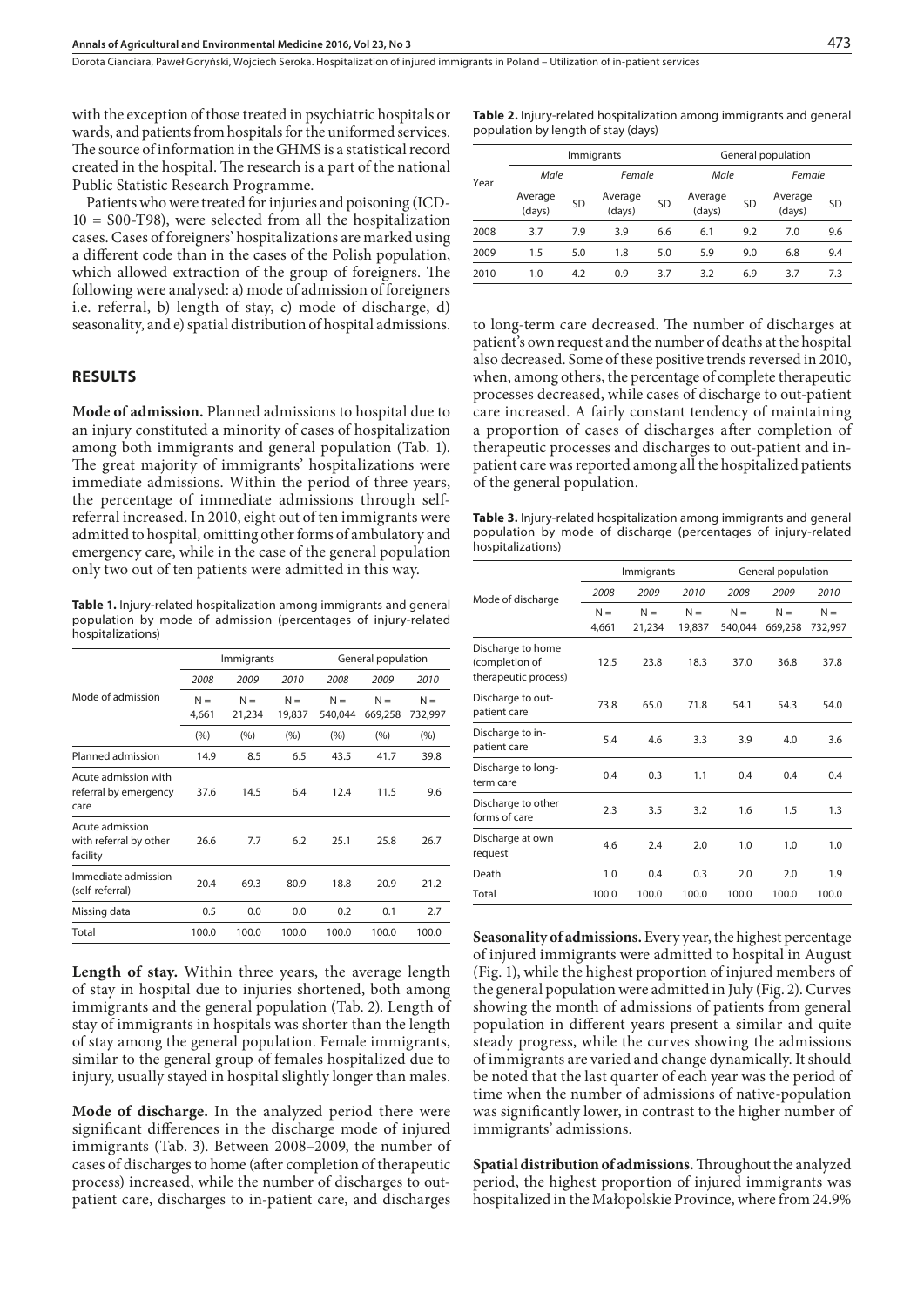with the exception of those treated in psychiatric hospitals or wards, and patients from hospitals for the uniformed services. The source of information in the GHMS is a statistical record created in the hospital. The research is a part of the national Public Statistic Research Programme.

Patients who were treated for injuries and poisoning (ICD-10 = S00-T98), were selected from all the hospitalization cases. Cases of foreigners' hospitalizations are marked using a different code than in the cases of the Polish population, which allowed extraction of the group of foreigners. The following were analysed: a) mode of admission of foreigners i.e. referral, b) length of stay, c) mode of discharge, d) seasonality, and e) spatial distribution of hospital admissions.

#### **RESULTS**

**Mode of admission.** Planned admissions to hospital due to an injury constituted a minority of cases of hospitalization among both immigrants and general population (Tab. 1). The great majority of immigrants' hospitalizations were immediate admissions. Within the period of three years, the percentage of immediate admissions through selfreferral increased. In 2010, eight out of ten immigrants were admitted to hospital, omitting other forms of ambulatory and emergency care, while in the case of the general population only two out of ten patients were admitted in this way.

**Table 1.** Injury-related hospitalization among immigrants and general population by mode of admission (percentages of injury-related hospitalizations)

|                                                       | Immigrants     |                 |                 | General population |                  |                  |
|-------------------------------------------------------|----------------|-----------------|-----------------|--------------------|------------------|------------------|
| Mode of admission                                     | 2008           | 2009            | 2010            | 2008               | 2009             | 2010             |
|                                                       | $N =$<br>4,661 | $N =$<br>21,234 | $N =$<br>19,837 | $N =$<br>540,044   | $N =$<br>669,258 | $N =$<br>732,997 |
|                                                       | (9/6)          | (%)             | (%)             | (9/6)              | (%)              | (%)              |
| Planned admission                                     | 14.9           | 8.5             | 6.5             | 43.5               | 41.7             | 39.8             |
| Acute admission with<br>referral by emergency<br>care | 37.6           | 14.5            | 6.4             | 12.4               | 11.5             | 9.6              |
| Acute admission<br>with referral by other<br>facility | 26.6           | 7.7             | 6.2             | 25.1               | 25.8             | 26.7             |
| Immediate admission<br>(self-referral)                | 20.4           | 69.3            | 80.9            | 18.8               | 20.9             | 21.2             |
| Missing data                                          | 0.5            | 0.0             | 0.0             | 0.2                | 0.1              | 2.7              |
| Total                                                 | 100.0          | 100.0           | 100.0           | 100.0              | 100.0            | 100.0            |

**Length of stay.** Within three years, the average length of stay in hospital due to injuries shortened, both among immigrants and the general population (Tab. 2). Length of stay of immigrants in hospitals was shorter than the length of stay among the general population. Female immigrants, similar to the general group of females hospitalized due to injury, usually stayed in hospital slightly longer than males.

**Mode of discharge.** In the analyzed period there were significant differences in the discharge mode of injured immigrants (Tab. 3). Between 2008–2009, the number of cases of discharges to home (after completion of therapeutic process) increased, while the number of discharges to outpatient care, discharges to in-patient care, and discharges

**Table 2.** Injury-related hospitalization among immigrants and general population by length of stay (days)

|      |                   |           | Immigrants        |           | General population |           |                   |           |
|------|-------------------|-----------|-------------------|-----------|--------------------|-----------|-------------------|-----------|
| Year | Male              |           | Female            |           | Male               |           | Female            |           |
|      | Average<br>(days) | <b>SD</b> | Average<br>(days) | <b>SD</b> | Average<br>(days)  | <b>SD</b> | Average<br>(days) | <b>SD</b> |
| 2008 | 3.7               | 79        | 3.9               | 6.6       | 6.1                | 9.2       | 7.0               | 9.6       |
| 2009 | 1.5               | 5.0       | 1.8               | 5.0       | 5.9                | 9.0       | 6.8               | 9.4       |
| 2010 | 1.0               | 4.2       | 0.9               | 3.7       | 3.2                | 6.9       | 3.7               | 7.3       |

to long-term care decreased. The number of discharges at patient's own request and the number of deaths at the hospital also decreased. Some of these positive trends reversed in 2010, when, among others, the percentage of complete therapeutic processes decreased, while cases of discharge to out-patient care increased. A fairly constant tendency of maintaining a proportion of cases of discharges after completion of therapeutic processes and discharges to out-patient and inpatient care was reported among all the hospitalized patients of the general population.

**Table 3.** Injury-related hospitalization among immigrants and general population by mode of discharge (percentages of injury-related hospitalizations)

|                                                             |                | Immigrants      |                 | General population |                  |                  |  |
|-------------------------------------------------------------|----------------|-----------------|-----------------|--------------------|------------------|------------------|--|
| Mode of discharge                                           | 2008           | 2009            | 2010            | 2008               | 2009             | 2010             |  |
|                                                             | $N =$<br>4,661 | $N =$<br>21,234 | $N =$<br>19,837 | $N =$<br>540,044   | $N =$<br>669,258 | $N =$<br>732,997 |  |
| Discharge to home<br>(completion of<br>therapeutic process) | 12.5           | 23.8            | 18.3            | 37.0               | 36.8             | 37.8             |  |
| Discharge to out-<br>patient care                           | 73.8           | 65.0            | 71.8            | 54.1               | 54.3             | 54.0             |  |
| Discharge to in-<br>patient care                            | 5.4            | 4.6             | 3.3             | 3.9                | 4.0              | 3.6              |  |
| Discharge to long-<br>term care                             | 0.4            | 0.3             | 1.1             | 0.4                | 0.4              | 0.4              |  |
| Discharge to other<br>forms of care                         | 2.3            | 3.5             | 3.2             | 1.6                | 1.5              | 1.3              |  |
| Discharge at own<br>request                                 | 4.6            | 2.4             | 2.0             | 1.0                | 1.0              | 1.0              |  |
| Death                                                       | 1.0            | 0.4             | 0.3             | 2.0                | 2.0              | 1.9              |  |
| Total                                                       | 100.0          | 100.0           | 100.0           | 100.0              | 100.0            | 100.0            |  |
|                                                             |                |                 |                 |                    |                  |                  |  |

**Seasonality of admissions.** Every year, the highest percentage of injured immigrants were admitted to hospital in August (Fig. 1), while the highest proportion of injured members of the general population were admitted in July (Fig. 2). Curves showing the month of admissions of patients from general population in different years present a similar and quite steady progress, while the curves showing the admissions of immigrants are varied and change dynamically. It should be noted that the last quarter of each year was the period of time when the number of admissions of native-population was significantly lower, in contrast to the higher number of immigrants' admissions.

**Spatial distribution of admissions.** Throughout the analyzed period, the highest proportion of injured immigrants was hospitalized in the Małopolskie Province, where from 24.9%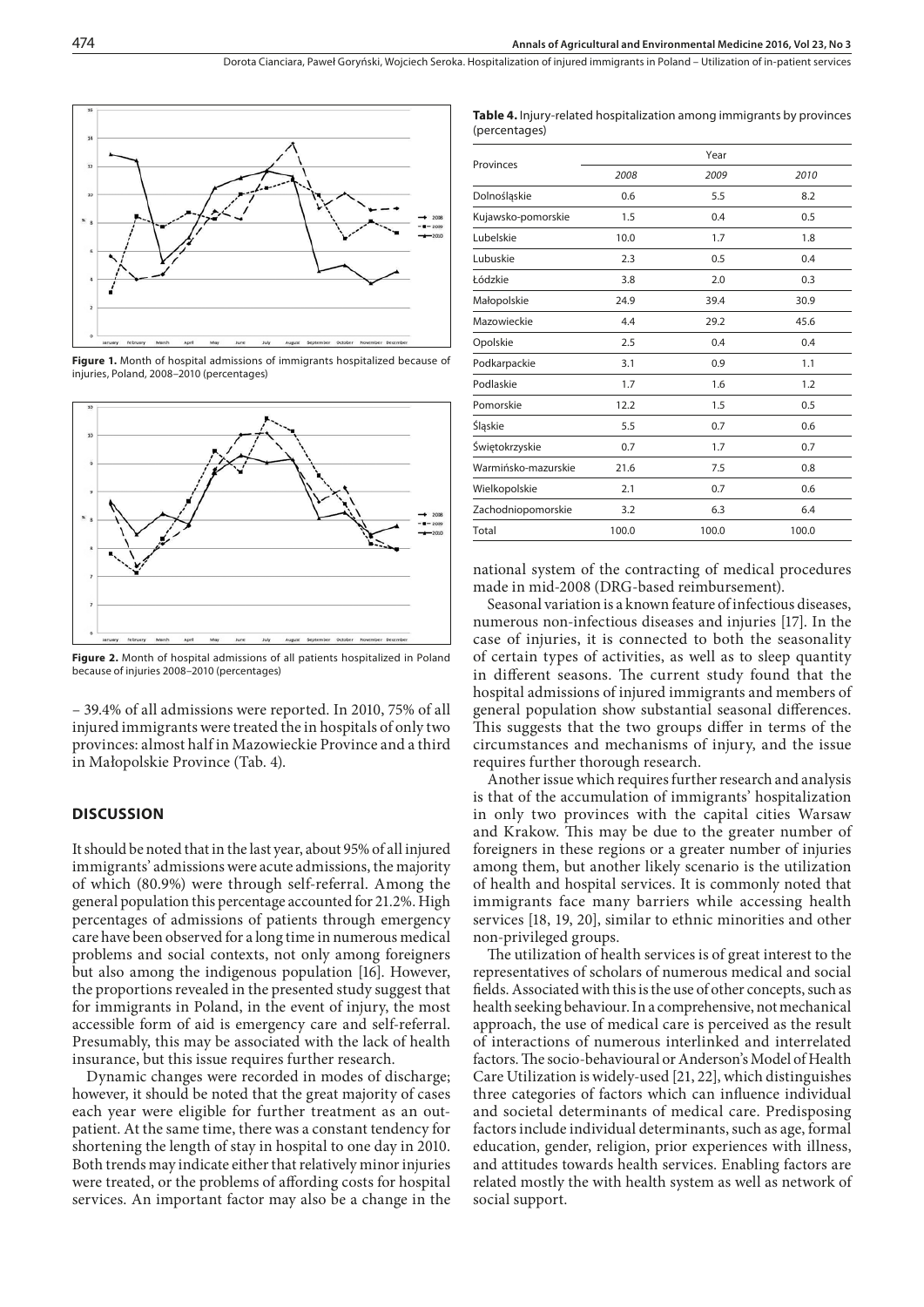Dorota Cianciara, Paweł Goryński, Wojciech Seroka . Hospitalization of injured immigrants in Poland – Utilization of in-patient services



**Figure 1.** Month of hospital admissions of immigrants hospitalized because of injuries, Poland, 2008–2010 (percentages)



**Figure 2.** Month of hospital admissions of all patients hospitalized in Poland because of injuries 2008–2010 (percentages)

– 39.4% of all admissions were reported. In 2010, 75% of all injured immigrants were treated the in hospitals of only two provinces: almost half in Mazowieckie Province and a third in Małopolskie Province (Tab. 4).

#### **DISCUSSION**

It should be noted that in the last year, about 95% of all injured immigrants' admissions were acute admissions, the majority of which (80.9%) were through self-referral. Among the general population this percentage accounted for 21.2%. High percentages of admissions of patients through emergency care have been observed for a long time in numerous medical problems and social contexts, not only among foreigners but also among the indigenous population [16]. However, the proportions revealed in the presented study suggest that for immigrants in Poland, in the event of injury, the most accessible form of aid is emergency care and self-referral. Presumably, this may be associated with the lack of health insurance, but this issue requires further research.

Dynamic changes were recorded in modes of discharge; however, it should be noted that the great majority of cases each year were eligible for further treatment as an outpatient. At the same time, there was a constant tendency for shortening the length of stay in hospital to one day in 2010. Both trends may indicate either that relatively minor injuries were treated, or the problems of affording costs for hospital services. An important factor may also be a change in the

| <b>Table 4.</b> Injury-related hospitalization among immigrants by provinces |  |
|------------------------------------------------------------------------------|--|
| (percentages)                                                                |  |

|                     | Year  |       |       |  |  |  |
|---------------------|-------|-------|-------|--|--|--|
| Provinces           | 2008  | 2009  | 2010  |  |  |  |
| Dolnośląskie        | 0.6   | 5.5   | 8.2   |  |  |  |
| Kujawsko-pomorskie  | 1.5   | 0.4   | 0.5   |  |  |  |
| Lubelskie           | 10.0  | 1.7   | 1.8   |  |  |  |
| Lubuskie            | 2.3   | 0.5   | 0.4   |  |  |  |
| Łódzkie             | 3.8   | 2.0   | 0.3   |  |  |  |
| Małopolskie         | 24.9  | 39.4  | 30.9  |  |  |  |
| Mazowieckie         | 4.4   | 29.2  | 45.6  |  |  |  |
| Opolskie            | 2.5   | 0.4   | 0.4   |  |  |  |
| Podkarpackie        | 3.1   | 0.9   | 1.1   |  |  |  |
| Podlaskie           | 1.7   | 1.6   | 1.2   |  |  |  |
| Pomorskie           | 12.2  | 1.5   | 0.5   |  |  |  |
| Śląskie             | 5.5   | 0.7   | 0.6   |  |  |  |
| Świętokrzyskie      | 0.7   | 1.7   | 0.7   |  |  |  |
| Warmińsko-mazurskie | 21.6  | 7.5   | 0.8   |  |  |  |
| Wielkopolskie       | 2.1   | 0.7   | 0.6   |  |  |  |
| Zachodniopomorskie  | 3.2   | 6.3   | 6.4   |  |  |  |
| Total               | 100.0 | 100.0 | 100.0 |  |  |  |

national system of the contracting of medical procedures made in mid-2008 (DRG-based reimbursement).

Seasonal variation is a known feature of infectious diseases, numerous non-infectious diseases and injuries [17]. In the case of injuries, it is connected to both the seasonality of certain types of activities, as well as to sleep quantity in different seasons. The current study found that the hospital admissions of injured immigrants and members of general population show substantial seasonal differences. This suggests that the two groups differ in terms of the circumstances and mechanisms of injury, and the issue requires further thorough research.

Another issue which requires further research and analysis is that of the accumulation of immigrants' hospitalization in only two provinces with the capital cities Warsaw and Krakow. This may be due to the greater number of foreigners in these regions or a greater number of injuries among them, but another likely scenario is the utilization of health and hospital services. It is commonly noted that immigrants face many barriers while accessing health services [18, 19, 20], similar to ethnic minorities and other non-privileged groups.

The utilization of health services is of great interest to the representatives of scholars of numerous medical and social fields. Associated with this is the use of other concepts, such as health seeking behaviour. In a comprehensive, not mechanical approach, the use of medical care is perceived as the result of interactions of numerous interlinked and interrelated factors. The socio-behavioural or Anderson's Model of Health Care Utilization is widely-used [21, 22], which distinguishes three categories of factors which can influence individual and societal determinants of medical care. Predisposing factors include individual determinants, such as age, formal education, gender, religion, prior experiences with illness, and attitudes towards health services. Enabling factors are related mostly the with health system as well as network of social support.